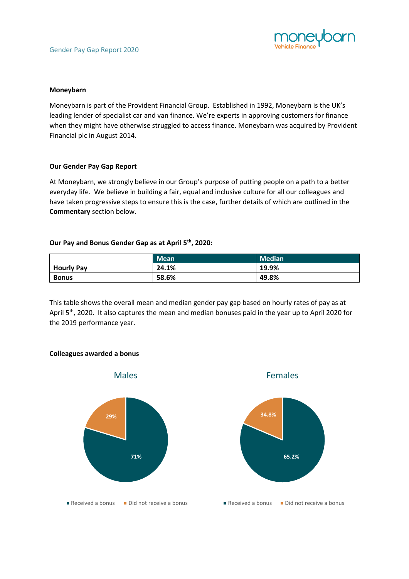

## **Moneybarn**

Moneybarn is part of the Provident Financial Group. Established in 1992, Moneybarn is the UK's leading lender of specialist car and van finance. We're experts in approving customers for finance when they might have otherwise struggled to access finance. Moneybarn was acquired by Provident Financial plc in August 2014.

## **Our Gender Pay Gap Report**

At Moneybarn, we strongly believe in our Group's purpose of putting people on a path to a better everyday life. We believe in building a fair, equal and inclusive culture for all our colleagues and have taken progressive steps to ensure this is the case, further details of which are outlined in the **Commentary** section below.

## **Our Pay and Bonus Gender Gap as at April 5th, 2020:**

|                   | <b>Mean</b> | <b>Median</b> |
|-------------------|-------------|---------------|
| <b>Hourly Pay</b> | 24.1%       | 19.9%         |
| <b>Bonus</b>      | 58.6%       | 49.8%         |

This table shows the overall mean and median gender pay gap based on hourly rates of pay as at April 5<sup>th</sup>, 2020. It also captures the mean and median bonuses paid in the year up to April 2020 for the 2019 performance year.



#### **Colleagues awarded a bonus**